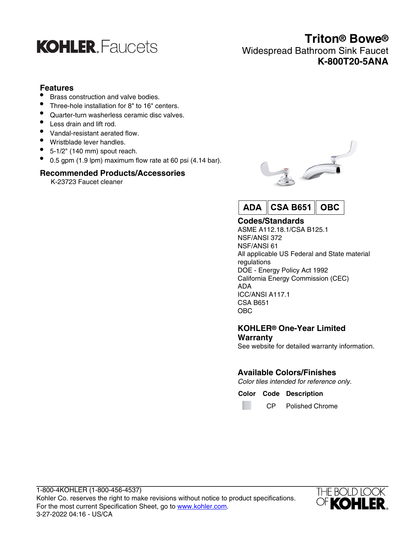

### **Triton® Bowe®** Widespread Bathroom Sink Faucet **K-800T20-5ANA**

### **Features**

- Brass construction and valve bodies.
- Three-hole installation for 8" to 16" centers.
- Quarter-turn washerless ceramic disc valves.
- Less drain and lift rod.
- Vandal-resistant aerated flow.
- Wristblade lever handles.
- $\bullet$  5-1/2" (140 mm) spout reach.
- $\bullet$  0.5 gpm (1.9 lpm) maximum flow rate at 60 psi (4.14 bar).

### **Recommended Products/Accessories**

K-23723 Faucet cleaner





### **Codes/Standards**

ASME A112.18.1/CSA B125.1 NSF/ANSI 372 NSF/ANSI 61 All applicable US Federal and State material regulations DOE - Energy Policy Act 1992 California Energy Commission (CEC) ADA ICC/ANSI A117.1 CSA B651 OBC

### **KOHLER® One-Year Limited Warranty**

See website for detailed warranty information.

### **Available Colors/Finishes**

Color tiles intended for reference only.

**Color Code Description**

m

CP Polished Chrome